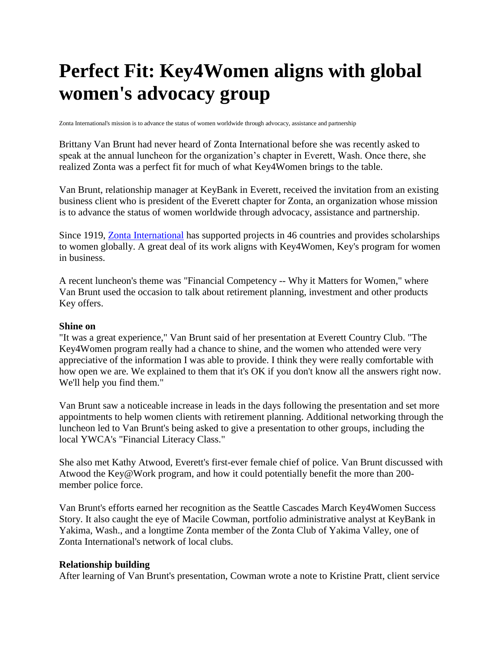## **Perfect Fit: Key4Women aligns with global women's advocacy group**

Zonta International's mission is to advance the status of women worldwide through advocacy, assistance and partnership

Brittany Van Brunt had never heard of Zonta International before she was recently asked to speak at the annual luncheon for the organization's chapter in Everett, Wash. Once there, she realized Zonta was a perfect fit for much of what Key4Women brings to the table.

Van Brunt, relationship manager at KeyBank in Everett, received the invitation from an existing business client who is president of the Everett chapter for Zonta, an organization whose mission is to advance the status of women worldwide through advocacy, assistance and partnership.

Since 1919, [Zonta International](http://www.zonta.org/) has supported projects in 46 countries and provides scholarships to women globally. A great deal of its work aligns with Key4Women, Key's program for women in business.

A recent luncheon's theme was "Financial Competency -- Why it Matters for Women," where Van Brunt used the occasion to talk about retirement planning, investment and other products Key offers.

## **Shine on**

"It was a great experience," Van Brunt said of her presentation at Everett Country Club. "The Key4Women program really had a chance to shine, and the women who attended were very appreciative of the information I was able to provide. I think they were really comfortable with how open we are. We explained to them that it's OK if you don't know all the answers right now. We'll help you find them."

Van Brunt saw a noticeable increase in leads in the days following the presentation and set more appointments to help women clients with retirement planning. Additional networking through the luncheon led to Van Brunt's being asked to give a presentation to other groups, including the local YWCA's "Financial Literacy Class."

She also met Kathy Atwood, Everett's first-ever female chief of police. Van Brunt discussed with Atwood the Key@Work program, and how it could potentially benefit the more than 200 member police force.

Van Brunt's efforts earned her recognition as the Seattle Cascades March Key4Women Success Story. It also caught the eye of Macile Cowman, portfolio administrative analyst at KeyBank in Yakima, Wash., and a longtime Zonta member of the Zonta Club of Yakima Valley, one of Zonta International's network of local clubs.

## **Relationship building**

After learning of Van Brunt's presentation, Cowman wrote a note to Kristine Pratt, client service